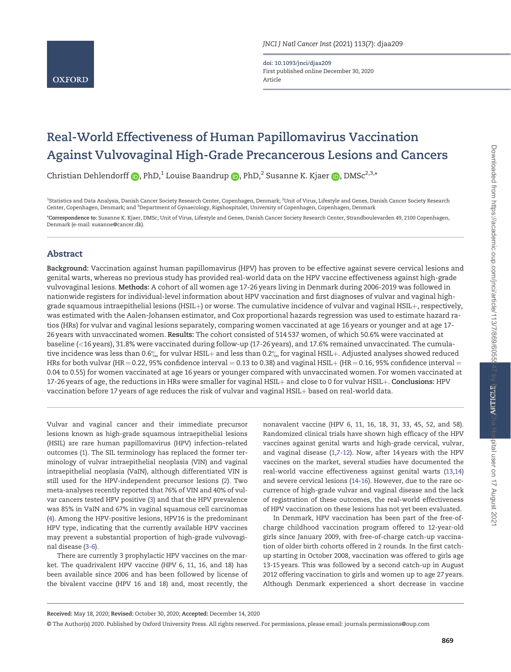doi: 10.1093/jnci/djaa209 First published online December 30, 2020 Article

# Real-World Effectiveness of Human Papillomavirus Vaccination Against Vulvovaginal High-Grade Precancerous Lesions and Cancers

Christian Dehlendorff  $\bigcirc$ , PhD,<sup>1</sup> Louise Baandrup  $\bigcirc$ , PhD,<sup>2</sup> Susanne K. Kjaer  $\bigcirc$ , DMSc<sup>2,3,\*</sup>

<sup>1</sup>Statistics and Data Analysis, Danish Cancer Society Research Center, Copenhagen, Denmark; <sup>2</sup>Unit of Virus, Lifestyle and Genes, Danish Cancer Society Research Center, Copenhagen, Denmark; and <sup>3</sup>Department of Gynaecology, Rigshospitalet, University of Copenhagen, Copenhagen, Denmark

\*Correspondence to: Susanne K. Kjaer, DMSc, Unit of Virus, Lifestyle and Genes, Danish Cancer Society Research Center, Strandboulevarden 49, 2100 Copenhagen, Denmark (e-mail: [susanne@cancer.dk\).](mailto:susanne@cancer.dk)

# Abstract

Background: Vaccination against human papillomavirus (HPV) has proven to be effective against severe cervical lesions and genital warts, whereas no previous study has provided real-world data on the HPV vaccine effectiveness against high-grade vulvovaginal lesions. Methods: A cohort of all women age 17-26 years living in Denmark during 2006-2019 was followed in nationwide registers for individual-level information about HPV vaccination and first diagnoses of vulvar and vaginal highgrade squamous intraepithelial lesions (HSIL $+$ ) or worse. The cumulative incidence of vulvar and vaginal HSIL $+$ , respectively, was estimated with the Aalen-Johansen estimator, and Cox proportional hazards regression was used to estimate hazard ratios (HRs) for vulvar and vaginal lesions separately, comparing women vaccinated at age 16 years or younger and at age 17- 26 years with unvaccinated women. Results: The cohort consisted of 514 537 women, of which 50.6% were vaccinated at baseline (<16 years), 31.8% were vaccinated during follow-up (17-26 years), and 17.6% remained unvaccinated. The cumulative incidence was less than 0.6% for vulvar HSIL + and less than 0.2% for vaginal HSIL +. Adjusted analyses showed reduced HRs for both vulvar (HR = 0.22, 95% confidence interval = 0.13 to 0.38) and vaginal HSIL + (HR = 0.16, 95% confidence interval = 0.04 to 0.55) for women vaccinated at age 16 years or younger compared with unvaccinated women. For women vaccinated at 17-26 years of age, the reductions in HRs were smaller for vaginal HSIL+ and close to 0 for vulvar HSIL+. Conclusions: HPV vaccination before 17 years of age reduces the risk of vulvar and vaginal HSIL+ based on real-world data.

© The Author(s) 2020. Published by Oxford University Press. All rights reserved. For permissions, please email: journals.permissions@oup.com

Vulvar and vaginal cancer and their immediate precursor lesions known as high-grade squamous intraepithelial lesions (HSIL) are rare human papillomavirus (HPV) infection–related outcomes [\(1\)](#page-4-0). The SIL terminology has replaced the former terminology of vulvar intraepithelial neoplasia (VIN) and vaginal intraepithelial neoplasia (VaIN), although differentiated VIN is still used for the HPV-independent precursor lesions ([2\)](#page-4-0). Two meta-analyses recently reported that 76% of VIN and 40% of vulvar cancers tested HPV positive ([3\)](#page-4-0) and that the HPV prevalence was 85% in VaIN and 67% in vaginal squamous cell carcinomas ([4](#page-4-0)). Among the HPV-positive lesions, HPV16 is the predominant HPV type, indicating that the currently available HPV vaccines may prevent a substantial proportion of high-grade vulvovaginal disease [\(3-6\)](#page-4-0).

There are currently 3 prophylactic HPV vaccines on the market. The quadrivalent HPV vaccine (HPV 6, 11, 16, and 18) has been available since 2006 and has been followed by license of the bivalent vaccine (HPV 16 and 18) and, most recently, the

Received: May 18, 2020; Revised: October 30, 2020; Accepted: December 14, 2020

nonavalent vaccine (HPV 6, 11, 16, 18, 31, 33, 45, 52, and 58). Randomized clinical trials have shown high efficacy of the HPV vaccines against genital warts and high-grade cervical, vulvar, and vaginal disease [\(1,7-12\)](#page-4-0). Now, after 14 years with the HPV vaccines on the market, several studies have documented the real-world vaccine effectiveness against genital warts ([13,14](#page-4-0)) and severe cervical lesions ([14-16](#page-4-0)). However, due to the rare occurrence of high-grade vulvar and vaginal disease and the lack of registration of these outcomes, the real-world effectiveness of HPV vaccination on these lesions has not yet been evaluated.

In Denmark, HPV vaccination has been part of the free-ofcharge childhood vaccination program offered to 12-year-old girls since January 2009, with free-of-charge catch-up vaccination of older birth cohorts offered in 2 rounds. In the first catchup starting in October 2008, vaccination was offered to girls age 13-15 years. This was followed by a second catch-up in August 2012 offering vaccination to girls and women up to age 27 years. Although Denmark experienced a short decrease in vaccine

spital user on 17 August 202'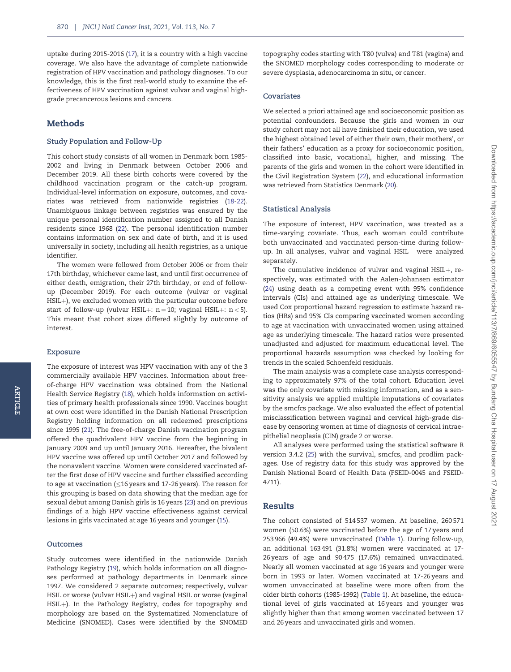uptake during 2015-2016 [\(17](#page-4-0)), it is a country with a high vaccine coverage. We also have the advantage of complete nationwide registration of HPV vaccination and pathology diagnoses. To our knowledge, this is the first real-world study to examine the effectiveness of HPV vaccination against vulvar and vaginal highgrade precancerous lesions and cancers.

## Methods

## Study Population and Follow-Up

This cohort study consists of all women in Denmark born 1985- 2002 and living in Denmark between October 2006 and December 2019. All these birth cohorts were covered by the childhood vaccination program or the catch-up program. Individual-level information on exposure, outcomes, and covariates was retrieved from nationwide registries ([18-](#page-4-0)[22](#page-5-0)). Unambiguous linkage between registries was ensured by the unique personal identification number assigned to all Danish residents since 1968 [\(22\)](#page-5-0). The personal identification number contains information on sex and date of birth, and it is used universally in society, including all health registries, as a unique identifier.

The women were followed from October 2006 or from their 17th birthday, whichever came last, and until first occurrence of either death, emigration, their 27th birthday, or end of followup (December 2019). For each outcome (vulvar or vaginal HSIL+), we excluded women with the particular outcome before start of follow-up (vulvar HSIL+:  $n = 10$ ; vaginal HSIL+:  $n < 5$ ). This meant that cohort sizes differed slightly by outcome of interest.

#### Exposure

ARTICLE

ARTICLE

The exposure of interest was HPV vaccination with any of the 3 commercially available HPV vaccines. Information about freeof-charge HPV vaccination was obtained from the National Health Service Registry [\(18\)](#page-4-0), which holds information on activities of primary health professionals since 1990. Vaccines bought at own cost were identified in the Danish National Prescription Registry holding information on all redeemed prescriptions since 1995 ([21\)](#page-5-0). The free-of-charge Danish vaccination program offered the quadrivalent HPV vaccine from the beginning in January 2009 and up until January 2016. Hereafter, the bivalent HPV vaccine was offered up until October 2017 and followed by the nonavalent vaccine. Women were considered vaccinated after the first dose of HPV vaccine and further classified according to age at vaccination ( $\leq$ 16 years and 17-26 years). The reason for this grouping is based on data showing that the median age for sexual debut among Danish girls is 16 years [\(23\)](#page-5-0) and on previous findings of a high HPV vaccine effectiveness against cervical lesions in girls vaccinated at age 16 years and younger [\(15\)](#page-4-0).

#### **Outcomes**

Study outcomes were identified in the nationwide Danish Pathology Registry ([19\)](#page-4-0), which holds information on all diagnoses performed at pathology departments in Denmark since 1997. We considered 2 separate outcomes; respectively, vulvar HSIL or worse (vulvar HSIL+) and vaginal HSIL or worse (vaginal HSIL+). In the Pathology Registry, codes for topography and morphology are based on the Systematized Nomenclature of Medicine (SNOMED). Cases were identified by the SNOMED

topography codes starting with T80 (vulva) and T81 (vagina) and the SNOMED morphology codes corresponding to moderate or severe dysplasia, adenocarcinoma in situ, or cancer.

#### Covariates

We selected a priori attained age and socioeconomic position as potential confounders. Because the girls and women in our study cohort may not all have finished their education, we used the highest obtained level of either their own, their mothers', or their fathers' education as a proxy for socioeconomic position, classified into basic, vocational, higher, and missing. The parents of the girls and women in the cohort were identified in the Civil Registration System ([22](#page-5-0)), and educational information was retrieved from Statistics Denmark [\(20](#page-4-0)).

#### Statistical Analysis

The exposure of interest, HPV vaccination, was treated as a time-varying covariate. Thus, each woman could contribute both unvaccinated and vaccinated person-time during followup. In all analyses, vulvar and vaginal  $HSIL+$  were analyzed separately.

The cumulative incidence of vulvar and vaginal  $HSL+$ , respectively, was estimated with the Aalen-Johansen estimator ([24](#page-5-0)) using death as a competing event with 95% confidence intervals (CIs) and attained age as underlying timescale. We used Cox proportional hazard regression to estimate hazard ratios (HRs) and 95% CIs comparing vaccinated women according to age at vaccination with unvaccinated women using attained age as underlying timescale. The hazard ratios were presented unadjusted and adjusted for maximum educational level. The proportional hazards assumption was checked by looking for trends in the scaled Schoenfeld residuals.

The main analysis was a complete case analysis corresponding to approximately 97% of the total cohort. Education level was the only covariate with missing information, and as a sensitivity analysis we applied multiple imputations of covariates by the smcfcs package. We also evaluated the effect of potential misclassification between vaginal and cervical high-grade disease by censoring women at time of diagnosis of cervical intraepithelial neoplasia (CIN) grade 2 or worse.

All analyses were performed using the statistical software R version 3.4.2 [\(25\)](#page-5-0) with the survival, smcfcs, and prodlim packages. Use of registry data for this study was approved by the Danish National Board of Health Data (FSEID-0045 and FSEID-4711).

### Results

The cohort consisted of 514 537 women. At baseline, 260 571 women (50.6%) were vaccinated before the age of 17 years and 253 966 (49.4%) were unvaccinated [\(Table 1\)](#page-2-0). During follow-up, an additional 163 491 (31.8%) women were vaccinated at 17- 26 years of age and 90 475 (17.6%) remained unvaccinated. Nearly all women vaccinated at age 16 years and younger were born in 1993 or later. Women vaccinated at 17-26 years and women unvaccinated at baseline were more often from the older birth cohorts (1985-1992) ([Table 1](#page-2-0)). At baseline, the educational level of girls vaccinated at 16 years and younger was slightly higher than that among women vaccinated between 17 and 26 years and unvaccinated girls and women.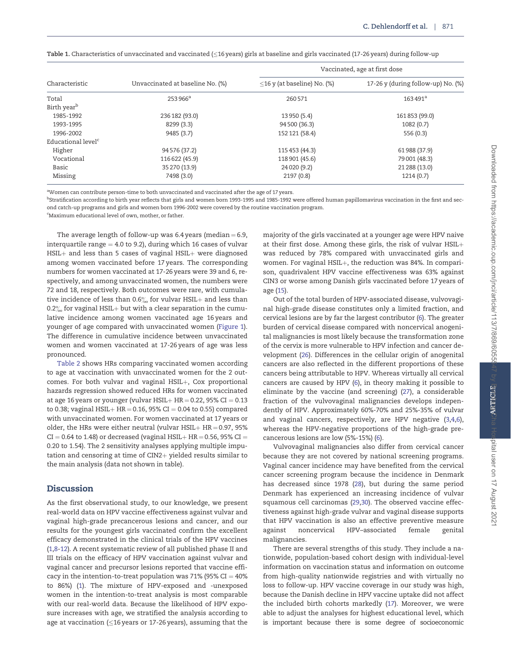| Characteristic                 | Unvaccinated at baseline No. (%) | Vaccinated, age at first dose     |                                    |  |
|--------------------------------|----------------------------------|-----------------------------------|------------------------------------|--|
|                                |                                  | $\leq$ 16 y (at baseline) No. (%) | 17-26 y (during follow-up) No. (%) |  |
| Total                          | 253 966 <sup>a</sup>             | 260571                            | 163491 <sup>a</sup>                |  |
| Birth year <sup>b</sup>        |                                  |                                   |                                    |  |
| 1985-1992                      | 236 182 (93.0)                   | 13 950 (5.4)                      | 161853 (99.0)                      |  |
| 1993-1995                      | 8299 (3.3)                       | 94 500 (36.3)                     | 1082(0.7)                          |  |
| 1996-2002                      | 9485 (3.7)                       | 152 121 (58.4)                    | 556 (0.3)                          |  |
| Educational level <sup>c</sup> |                                  |                                   |                                    |  |
| Higher                         | 94 576 (37.2)                    | 115 453 (44.3)                    | 61988 (37.9)                       |  |
| Vocational                     | 116 622 (45.9)                   | 118 901 (45.6)                    | 79 001 (48.3)                      |  |
| Basic                          | 35 270 (13.9)                    | 24 0 20 (9.2)                     | 21 288 (13.0)                      |  |
| Missing                        | 7498 (3.0)                       | 2197 (0.8)                        | 1214(0.7)                          |  |

<span id="page-2-0"></span> ${\tt Table~1.}$  Characteristics of unvaccinated and vaccinated ( $\leq$ 16 years) girls at baseline and girls vaccinated (17-26 years) during follow-up

<sup>a</sup>Women can contribute person-time to both unvaccinated and vaccinated after the age of 17 years.

 $^{\rm b}$ Stratification according to birth year reflects that girls and women born 1993-1995 and 1985-1992 were offered human papillomavirus vaccination in the first and second catch-up programs and girls and women born 1996-2002 were covered by the routine vaccination program.

c Maximum educational level of own, mother, or father.

The average length of follow-up was  $6.4$  years (median  $= 6.9$ , interquartile range  $=$  4.0 to 9.2), during which 16 cases of vulvar  $HSIL+$  and less than 5 cases of vaginal  $HSIL+$  were diagnosed among women vaccinated before 17 years. The corresponding numbers for women vaccinated at 17-26 years were 39 and 6, respectively, and among unvaccinated women, the numbers were 72 and 18, respectively. Both outcomes were rare, with cumulative incidence of less than  $0.6\%$  for vulvar HSIL + and less than 0.2 $\%$  for vaginal HSIL+ but with a clear separation in the cumulative incidence among women vaccinated age 16 years and younger of age compared with unvaccinated women ([Figure 1](#page-3-0)). The difference in cumulative incidence between unvaccinated women and women vaccinated at 17-26 years of age was less pronounced.

[Table 2](#page-3-0) shows HRs comparing vaccinated women according to age at vaccination with unvaccinated women for the 2 outcomes. For both vulvar and vaginal  $HSIL+$ , Cox proportional hazards regression showed reduced HRs for women vaccinated at age 16 years or younger (vulvar  $HSIL + HR = 0.22$ , 95% CI = 0.13 to 0.38; vaginal  $HSIL + HR = 0.16$ , 95% CI = 0.04 to 0.55) compared with unvaccinated women. For women vaccinated at 17 years or older, the HRs were either neutral (vulvar HSIL $+$  HR = 0.97, 95%  $CI = 0.64$  to 1.48) or decreased (vaginal HSIL + HR = 0.56, 95% CI = 0.20 to 1.54). The 2 sensitivity analyses applying multiple imputation and censoring at time of  $CIN2+$  yielded results similar to the main analysis (data not shown in table).

# **Discussion**

As the first observational study, to our knowledge, we present real-world data on HPV vaccine effectiveness against vulvar and vaginal high-grade precancerous lesions and cancer, and our results for the youngest girls vaccinated confirm the excellent efficacy demonstrated in the clinical trials of the HPV vaccines ([1,8-12\)](#page-4-0). A recent systematic review of all published phase II and III trials on the efficacy of HPV vaccination against vulvar and vaginal cancer and precursor lesions reported that vaccine efficacy in the intention-to-treat population was 71% (95%  $CI = 40%$ to 86%) ([1\)](#page-4-0). The mixture of HPV-exposed and -unexposed women in the intention-to-treat analysis is most comparable with our real-world data. Because the likelihood of HPV exposure increases with age, we stratified the analysis according to age at vaccination ( $\leq$ 16 years or 17-26 years), assuming that the

majority of the girls vaccinated at a younger age were HPV naive at their first dose. Among these girls, the risk of vulvar  $HSIL+$ was reduced by 78% compared with unvaccinated girls and women. For vaginal HSIL $+$ , the reduction was 84%. In comparison, quadrivalent HPV vaccine effectiveness was 63% against CIN3 or worse among Danish girls vaccinated before 17 years of age [\(15\)](#page-4-0).

Out of the total burden of HPV-associated disease, vulvovaginal high-grade disease constitutes only a limited fraction, and cervical lesions are by far the largest contributor ([6](#page-4-0)). The greater burden of cervical disease compared with noncervical anogenital malignancies is most likely because the transformation zone of the cervix is more vulnerable to HPV infection and cancer development [\(26\)](#page-5-0). Differences in the cellular origin of anogenital cancers are also reflected in the different proportions of these cancers being attributable to HPV. Whereas virtually all cervical cancers are caused by HPV [\(6](#page-4-0)), in theory making it possible to eliminate by the vaccine (and screening) ([27\)](#page-5-0), a considerable fraction of the vulvovaginal malignancies develops independently of HPV. Approximately 60%-70% and 25%-35% of vulvar and vaginal cancers, respectively, are HPV negative ([3,4,6](#page-4-0)), whereas the HPV-negative proportions of the high-grade precancerous lesions are low (5%-15%) ([6\)](#page-4-0).

Vulvovaginal malignancies also differ from cervical cancer because they are not covered by national screening programs. Vaginal cancer incidence may have benefited from the cervical cancer screening program because the incidence in Denmark has decreased since 1978 [\(28](#page-5-0)), but during the same period Denmark has experienced an increasing incidence of vulvar squamous cell carcinomas ([29,30](#page-5-0)). The observed vaccine effectiveness against high-grade vulvar and vaginal disease supports that HPV vaccination is also an effective preventive measure against noncervical HPV–associated female genital malignancies.

There are several strengths of this study. They include a nationwide, population-based cohort design with individual-level information on vaccination status and information on outcome from high-quality nationwide registries and with virtually no loss to follow-up. HPV vaccine coverage in our study was high, because the Danish decline in HPV vaccine uptake did not affect the included birth cohorts markedly ([17\)](#page-4-0). Moreover, we were able to adjust the analyses for highest educational level, which is important because there is some degree of socioeconomic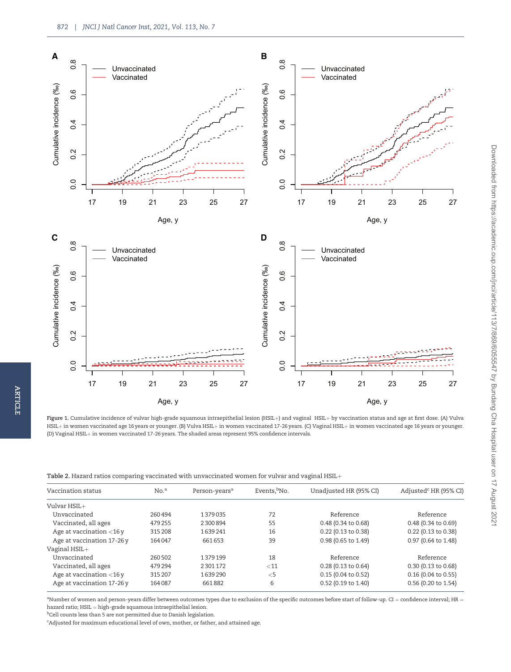<span id="page-3-0"></span>

ARTICLE

**ARTICLE** 

Figure 1. Cumulative incidence of vulvar high-grade squamous intraepithelial lesion (HSIL+) and vaginal HSIL+ by vaccination status and age at first dose. (A) Vulva HSIL+ in women vaccinated age 16 years or younger. (B) Vulva HSIL+ in women vaccinated 17-26 years. (C) Vaginal HSIL+ in women vaccinated age 16 years or younger. (D) Vaginal HSIL $+$  in women vaccinated 17-26 years. The shaded areas represent 95% confidence intervals.

| Table 2. Hazard ratios comparing vaccinated with unvaccinated women for vulvar and vaginal HSIL+ |  |  |  |
|--------------------------------------------------------------------------------------------------|--|--|--|
|--------------------------------------------------------------------------------------------------|--|--|--|

| Vaccination status          | No. <sup>a</sup> | Person-years <sup>a</sup> | Events, No. | Unadjusted HR (95% CI)        | Adjusted <sup>c</sup> HR (95% CI) |
|-----------------------------|------------------|---------------------------|-------------|-------------------------------|-----------------------------------|
| Vulvar HSIL+                |                  |                           |             |                               |                                   |
| Unvaccinated                | 260494           | 1379035                   | 72          | Reference                     | Reference                         |
| Vaccinated, all ages        | 479255           | 2300894                   | 55          | 0.48 (0.34 to 0.68)           | 0.48 (0.34 to 0.69)               |
| Age at vaccination $<$ 16 y | 315 208          | 1639241                   | 16          | 0.22 (0.13 to 0.38)           | 0.22 (0.13 to 0.38)               |
| Age at vaccination 17-26 y  | 164047           | 661653                    | 39          | 0.98 (0.65 to 1.49)           | 0.97 (0.64 to 1.48)               |
| $Vaginal HSIL+$             |                  |                           |             |                               |                                   |
| Unvaccinated                | 260502           | 1379199                   | 18          | Reference                     | Reference                         |
| Vaccinated, all ages        | 479 294          | 2301172                   | $<$ 11      | $0.28(0.13 \text{ to } 0.64)$ | $0.30(0.13 \text{ to } 0.68)$     |
| Age at vaccination $<$ 16 y | 315 207          | 1639290                   | $<$ 5       | $0.15(0.04 \text{ to } 0.52)$ | $0.16$ (0.04 to 0.55)             |
| Age at vaccination 17-26 y  | 164087           | 661882                    | 6           | 0.52 (0.19 to 1.40)           | 0.56 (0.20 to 1.54)               |

 $^{\rm a}$ Number of women and person-years differ between outcomes types due to exclusion of the specific outcomes before start of follow-up. CI = confidence interval; HR = hazard ratio;  $HSL = high\text{-}grade \text{ }square \text{ }intra \text{ }epithelial \text{ }lesion.$ 

<sup>b</sup>Cell counts less than 5 are not permitted due to Danish legislation.

<sup>c</sup>Adjusted for maximum educational level of own, mother, or father, and attained age.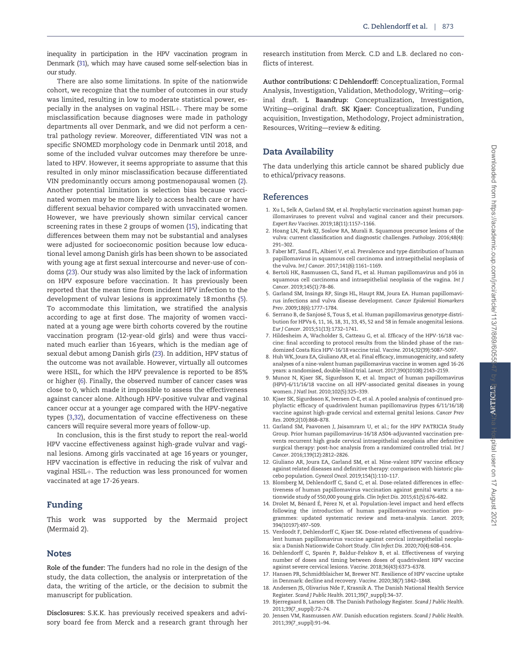<span id="page-4-0"></span>There are also some limitations. In spite of the nationwide cohort, we recognize that the number of outcomes in our study was limited, resulting in low to moderate statistical power, especially in the analyses on vaginal HSIL+. There may be some misclassification because diagnoses were made in pathology departments all over Denmark, and we did not perform a central pathology review. Moreover, differentiated VIN was not a specific SNOMED morphology code in Denmark until 2018, and some of the included vulvar outcomes may therefore be unrelated to HPV. However, it seems appropriate to assume that this resulted in only minor misclassification because differentiated VIN predominantly occurs among postmenopausal women (2). Another potential limitation is selection bias because vaccinated women may be more likely to access health care or have different sexual behavior compared with unvaccinated women. However, we have previously shown similar cervical cancer screening rates in these 2 groups of women (15), indicating that differences between them may not be substantial and analyses were adjusted for socioeconomic position because low educational level among Danish girls has been shown to be associated with young age at first sexual intercourse and never-use of condoms [\(23\)](#page-5-0). Our study was also limited by the lack of information on HPV exposure before vaccination. It has previously been reported that the mean time from incident HPV infection to the development of vulvar lesions is approximately 18months (5). To accommodate this limitation, we stratified the analysis according to age at first dose. The majority of women vaccinated at a young age were birth cohorts covered by the routine vaccination program (12-year-old girls) and were thus vaccinated much earlier than 16 years, which is the median age of sexual debut among Danish girls ([23\)](#page-5-0). In addition, HPV status of the outcome was not available. However, virtually all outcomes were HSIL, for which the HPV prevalence is reported to be 85% or higher (6). Finally, the observed number of cancer cases was close to 0, which made it impossible to assess the effectiveness against cancer alone. Although HPV-positive vulvar and vaginal cancer occur at a younger age compared with the HPV-negative types (3[,32\)](#page-5-0), documentation of vaccine effectiveness on these cancers will require several more years of follow-up.

In conclusion, this is the first study to report the real-world HPV vaccine effectiveness against high-grade vulvar and vaginal lesions. Among girls vaccinated at age 16 years or younger, HPV vaccination is effective in reducing the risk of vulvar and vaginal HSIL+. The reduction was less pronounced for women vaccinated at age 17-26 years.

# Funding

This work was supported by the Mermaid project (Mermaid 2).

# Notes

Role of the funder: The funders had no role in the design of the study, the data collection, the analysis or interpretation of the data, the writing of the article, or the decision to submit the manuscript for publication.

Disclosures: S.K.K. has previously received speakers and advisory board fee from Merck and a research grant through her research institution from Merck. C.D and L.B. declared no conflicts of interest.

Author contributions: C Dehlendorff: Conceptualization, Formal Analysis, Investigation, Validation, Methodology, Writing—original draft. L Baandrup: Conceptualization, Investigation, Writing—original draft. SK Kjaer: Conceptualization, Funding acquisition, Investigation, Methodology, Project administration, Resources, Writing—review & editing.

# Data Availability

The data underlying this article cannot be shared publicly due to ethical/privacy reasons.

## References

- 1. Xu L, Selk A, Garland SM, et al. Prophylactic vaccination against human papillomaviruses to prevent vulval and vaginal cancer and their precursors. Expert Rev Vaccines. 2019;18(11):1157–1166.
- 2. Hoang LN, Park KJ, Soslow RA, Murali R. Squamous precursor lesions of the vulva: current classification and diagnostic challenges. Pathology. 2016;48(4): 291–302.
- 3. Faber MT, Sand FL, Albieri V, et al. Prevalence and type distribution of human papillomavirus in squamous cell carcinoma and intraepithelial neoplasia of the vulva. Int J Cancer. 2017;141(6):1161–1169.
- 4. Bertoli HK, Rasmussen CL, Sand FL, et al. Human papillomavirus and p16 in squamous cell carcinoma and intraepithelial neoplasia of the vagina. Int J Cancer. 2019;145(1):78–86.
- 5. Garland SM, Insinga RP, Sings HL, Haupt RM, Joura EA. Human papillomavirus infections and vulva disease development. Cancer Epidemiol Biomarkers Prev. 2009;18(6):1777–1784.
- 6. Serrano B, de Sanjose S, Tous S, et al. Human papillomavirus genotype distri- bution for HPVs 6, 11, 16, 18, 31, 33, 45, 52 and 58 in female anogenital lesions. Eur J Cancer. 2015;51(13):1732–1741.
- 7. Hildesheim A, Wacholder S, Catteau G, et al. Efficacy of the HPV-16/18 vaccine: final according to protocol results from the blinded phase of the randomized Costa Rica HPV-16/18 vaccine trial. Vaccine. 2014;32(39):5087–5097.
- 8. Huh WK, Joura EA, Giuliano AR, et al. Final efficacy, immunogenicity, and safety analyses of a nine-valent human papillomavirus vaccine in women aged 16-26 years: a randomised, double-blind trial. Lancet. 2017;390(10108):2143–2159.
- 9. Munoz N, Kjaer SK, Sigurdsson K, et al. Impact of human papillomavirus (HPV)-6/11/16/18 vaccine on all HPV-associated genital diseases in young women. J Natl Inst. 2010;102(5):325–339.
- 10. Kjaer SK, Sigurdsson K, Iversen O-E, et al. A pooled analysis of continued prophylactic efficacy of quadrivalent human papillomavirus (types 6/11/16/18) vaccine against high-grade cervical and external genital lesions. Cancer Prev Res. 2009;2(10):868–878.
- 11. Garland SM, Paavonen J, Jaisamrarn U, et al.; for the HPV PATRICIA Study Group. Prior human papillomavirus-16/18 AS04-adjuvanted vaccination prevents recurrent high grade cervical intraepithelial neoplasia after definitive surgical therapy: post-hoc analysis from a randomized controlled trial. Int J Cancer. 2016;139(12):2812–2826.
- 12. Giuliano AR, Joura EA, Garland SM, et al. Nine-valent HPV vaccine efficacy against related diseases and definitive therapy: comparison with historic placebo population. Gynecol Oncol. 2019;154(1):110–117.
- 13. Blomberg M, Dehlendorff C, Sand C, et al. Dose-related differences in effectiveness of human papillomavirus vaccination against genital warts: a nationwide study of 550,000 young girls. Clin Infect Dis. 2015;61(5):676–682.
- 14. Drolet M, Bénard É, Pérez N, et al. Population-level impact and herd effects following the introduction of human papillomavirus vaccination programmes: updated systematic review and meta-analysis. Lancet. 2019; 394(10197):497–509.
- 15. Verdoodt F, Dehlendorff C, Kjaer SK. Dose-related effectiveness of quadrivalent human papillomavirus vaccine against cervical intraepithelial neoplasia: a Danish Nationwide Cohort Study. Clin Infect Dis. 2020;70(4):608–614.
- 16. Dehlendorff C, Sparén P, Baldur-Felskov B, et al. Effectiveness of varying number of doses and timing between doses of quadrivalent HPV vaccine against severe cervical lesions. Vaccine. 2018;36(43):6373–6378.
- 17. Hansen PR, Schmidtblaicher M, Brewer NT. Resilience of HPV vaccine uptake in Denmark: decline and recovery. Vaccine. 2020;38(7):1842–1848.
- 18. Andersen JS, Olivarius Nde F, Krasnik A. The Danish National Health Service Register. Scand J Public Health. 2011;39(7\_suppl):34–37.
- 19. Bjerregaard B, Larsen OB. The Danish Pathology Register. Scand J Public Health. 2011;39(7\_suppl):72–74.
- 20. Jensen VM, Rasmussen AW. Danish education registers. Scand J Public Health. 2011;39(7\_suppl):91–94.